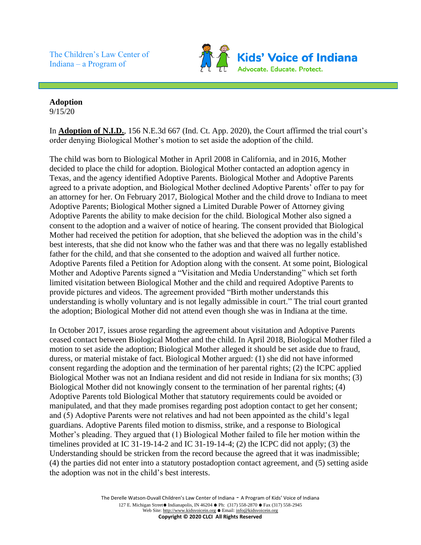The Children's Law Center of Indiana – a Program of



## **Adoption** 9/15/20

In **Adoption of N.I.D.**, 156 N.E.3d 667 (Ind. Ct. App. 2020), the Court affirmed the trial court's order denying Biological Mother's motion to set aside the adoption of the child.

The child was born to Biological Mother in April 2008 in California, and in 2016, Mother decided to place the child for adoption. Biological Mother contacted an adoption agency in Texas, and the agency identified Adoptive Parents. Biological Mother and Adoptive Parents agreed to a private adoption, and Biological Mother declined Adoptive Parents' offer to pay for an attorney for her. On February 2017, Biological Mother and the child drove to Indiana to meet Adoptive Parents; Biological Mother signed a Limited Durable Power of Attorney giving Adoptive Parents the ability to make decision for the child. Biological Mother also signed a consent to the adoption and a waiver of notice of hearing. The consent provided that Biological Mother had received the petition for adoption, that she believed the adoption was in the child's best interests, that she did not know who the father was and that there was no legally established father for the child, and that she consented to the adoption and waived all further notice. Adoptive Parents filed a Petition for Adoption along with the consent. At some point, Biological Mother and Adoptive Parents signed a "Visitation and Media Understanding" which set forth limited visitation between Biological Mother and the child and required Adoptive Parents to provide pictures and videos. The agreement provided "Birth mother understands this understanding is wholly voluntary and is not legally admissible in court." The trial court granted the adoption; Biological Mother did not attend even though she was in Indiana at the time.

In October 2017, issues arose regarding the agreement about visitation and Adoptive Parents ceased contact between Biological Mother and the child. In April 2018, Biological Mother filed a motion to set aside the adoption; Biological Mother alleged it should be set aside due to fraud, duress, or material mistake of fact. Biological Mother argued: (1) she did not have informed consent regarding the adoption and the termination of her parental rights; (2) the ICPC applied Biological Mother was not an Indiana resident and did not reside in Indiana for six months; (3) Biological Mother did not knowingly consent to the termination of her parental rights; (4) Adoptive Parents told Biological Mother that statutory requirements could be avoided or manipulated, and that they made promises regarding post adoption contact to get her consent; and (5) Adoptive Parents were not relatives and had not been appointed as the child's legal guardians. Adoptive Parents filed motion to dismiss, strike, and a response to Biological Mother's pleading. They argued that (1) Biological Mother failed to file her motion within the timelines provided at IC 31-19-14-2 and IC 31-19-14-4; (2) the ICPC did not apply; (3) the Understanding should be stricken from the record because the agreed that it was inadmissible; (4) the parties did not enter into a statutory postadoption contact agreement, and (5) setting aside the adoption was not in the child's best interests.

> The Derelle Watson-Duvall Children's Law Center of Indiana - A Program of Kids' Voice of Indiana 127 E. Michigan Street ● Indianapolis, IN 46204 ● Ph: (317) 558-2870 ● Fax (317) 558-2945 Web Site: http://www.kidsvoicein.org • Email: info@kidsvoicein.org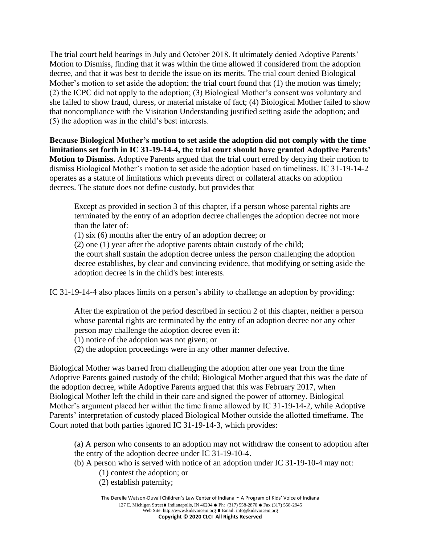The trial court held hearings in July and October 2018. It ultimately denied Adoptive Parents' Motion to Dismiss, finding that it was within the time allowed if considered from the adoption decree, and that it was best to decide the issue on its merits. The trial court denied Biological Mother's motion to set aside the adoption; the trial court found that (1) the motion was timely; (2) the ICPC did not apply to the adoption; (3) Biological Mother's consent was voluntary and she failed to show fraud, duress, or material mistake of fact; (4) Biological Mother failed to show that noncompliance with the Visitation Understanding justified setting aside the adoption; and (5) the adoption was in the child's best interests.

**Because Biological Mother's motion to set aside the adoption did not comply with the time limitations set forth in IC 31-19-14-4, the trial court should have granted Adoptive Parents' Motion to Dismiss.** Adoptive Parents argued that the trial court erred by denying their motion to dismiss Biological Mother's motion to set aside the adoption based on timeliness. IC 31-19-14-2 operates as a statute of limitations which prevents direct or collateral attacks on adoption decrees. The statute does not define custody, but provides that

Except as provided in section 3 of this chapter, if a person whose parental rights are terminated by the entry of an adoption decree challenges the adoption decree not more than the later of:

(1) six (6) months after the entry of an adoption decree; or

(2) one (1) year after the adoptive parents obtain custody of the child;

the court shall sustain the adoption decree unless the person challenging the adoption decree establishes, by clear and convincing evidence, that modifying or setting aside the adoption decree is in the child's best interests.

IC 31-19-14-4 also places limits on a person's ability to challenge an adoption by providing:

After the expiration of the period described in section 2 of this chapter, neither a person whose parental rights are terminated by the entry of an adoption decree nor any other person may challenge the adoption decree even if:

(1) notice of the adoption was not given; or

(2) the adoption proceedings were in any other manner defective.

Biological Mother was barred from challenging the adoption after one year from the time Adoptive Parents gained custody of the child; Biological Mother argued that this was the date of the adoption decree, while Adoptive Parents argued that this was February 2017, when Biological Mother left the child in their care and signed the power of attorney. Biological Mother's argument placed her within the time frame allowed by IC 31-19-14-2, while Adoptive Parents' interpretation of custody placed Biological Mother outside the allotted timeframe. The Court noted that both parties ignored IC 31-19-14-3, which provides:

(a) A person who consents to an adoption may not withdraw the consent to adoption after the entry of the adoption decree under IC 31-19-10-4.

(b) A person who is served with notice of an adoption under IC 31-19-10-4 may not:

(1) contest the adoption; or

(2) establish paternity;

The Derelle Watson-Duvall Children's Law Center of Indiana - A Program of Kids' Voice of Indiana 127 E. Michigan Street ● Indianapolis, IN 46204 ● Ph: (317) 558-2870 ● Fax (317) 558-2945 Web Site: http://www.kidsvoicein.org • Email: info@kidsvoicein.org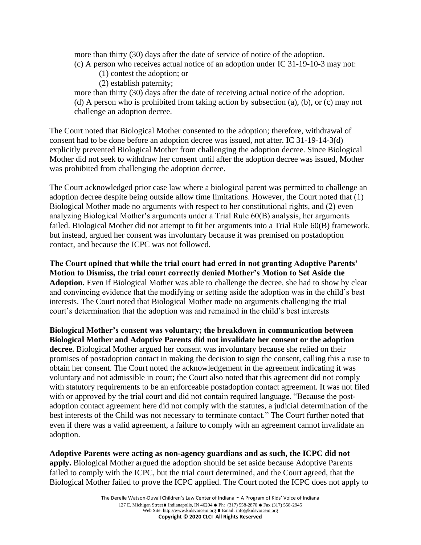more than thirty (30) days after the date of service of notice of the adoption. (c) A person who receives actual notice of an adoption under IC 31-19-10-3 may not:

- (1) contest the adoption; or
- (2) establish paternity;

more than thirty (30) days after the date of receiving actual notice of the adoption. (d) A person who is prohibited from taking action by subsection (a), (b), or (c) may not challenge an adoption decree.

The Court noted that Biological Mother consented to the adoption; therefore, withdrawal of consent had to be done before an adoption decree was issued, not after. IC 31-19-14-3(d) explicitly prevented Biological Mother from challenging the adoption decree. Since Biological Mother did not seek to withdraw her consent until after the adoption decree was issued, Mother was prohibited from challenging the adoption decree.

The Court acknowledged prior case law where a biological parent was permitted to challenge an adoption decree despite being outside allow time limitations. However, the Court noted that (1) Biological Mother made no arguments with respect to her constitutional rights, and (2) even analyzing Biological Mother's arguments under a Trial Rule 60(B) analysis, her arguments failed. Biological Mother did not attempt to fit her arguments into a Trial Rule 60(B) framework, but instead, argued her consent was involuntary because it was premised on postadoption contact, and because the ICPC was not followed.

**The Court opined that while the trial court had erred in not granting Adoptive Parents' Motion to Dismiss, the trial court correctly denied Mother's Motion to Set Aside the Adoption.** Even if Biological Mother was able to challenge the decree, she had to show by clear and convincing evidence that the modifying or setting aside the adoption was in the child's best interests. The Court noted that Biological Mother made no arguments challenging the trial court's determination that the adoption was and remained in the child's best interests

**Biological Mother's consent was voluntary; the breakdown in communication between Biological Mother and Adoptive Parents did not invalidate her consent or the adoption decree.** Biological Mother argued her consent was involuntary because she relied on their promises of postadoption contact in making the decision to sign the consent, calling this a ruse to obtain her consent. The Court noted the acknowledgement in the agreement indicating it was voluntary and not admissible in court; the Court also noted that this agreement did not comply with statutory requirements to be an enforceable postadoption contact agreement. It was not filed with or approved by the trial court and did not contain required language. "Because the postadoption contact agreement here did not comply with the statutes, a judicial determination of the best interests of the Child was not necessary to terminate contact." The Court further noted that even if there was a valid agreement, a failure to comply with an agreement cannot invalidate an adoption.

**Adoptive Parents were acting as non-agency guardians and as such, the ICPC did not apply.** Biological Mother argued the adoption should be set aside because Adoptive Parents failed to comply with the ICPC, but the trial court determined, and the Court agreed, that the Biological Mother failed to prove the ICPC applied. The Court noted the ICPC does not apply to

> The Derelle Watson-Duvall Children's Law Center of Indiana - A Program of Kids' Voice of Indiana 127 E. Michigan Street ● Indianapolis, IN 46204 ● Ph: (317) 558-2870 ● Fax (317) 558-2945 Web Site: http://www.kidsvoicein.org • Email: info@kidsvoicein.org

**Copyright © 2020 CLCI All Rights Reserved**